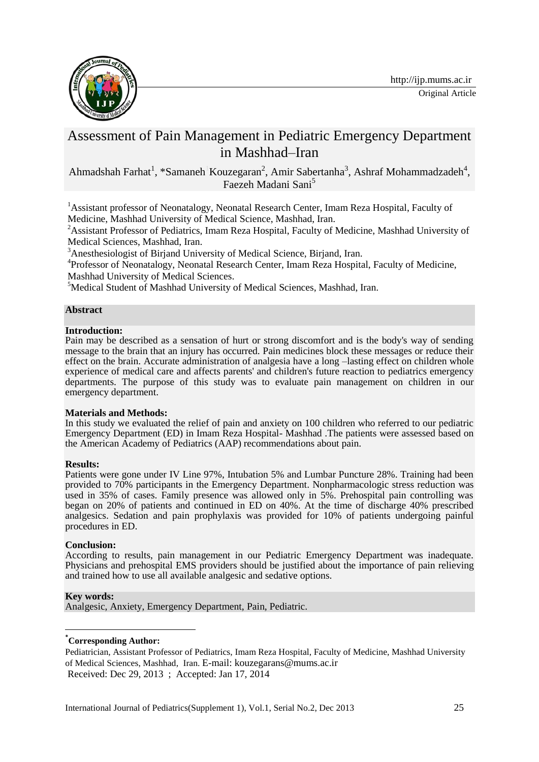

# Assessment of Pain Management in Pediatric Emergency Department in Mashhad–Iran

Ahmadshah Farhat<sup>1</sup>, \*Samaneh<sup>1</sup>Kouzegaran<sup>2</sup>, Amir Sabertanha<sup>3</sup>, Ashraf Mohammadzadeh<sup>4</sup>, Faezeh Madani Sani<sup>5</sup>

<sup>1</sup> Assistant professor of Neonatalogy, Neonatal Research Center, Imam Reza Hospital, Faculty of Medicine, Mashhad University of Medical Science, Mashhad, Iran.

<sup>2</sup> Assistant Professor of Pediatrics, Imam Reza Hospital, Faculty of Medicine, Mashhad University of Medical Sciences, Mashhad, Iran.

<sup>3</sup>Anesthesiologist of Birjand University of Medical Science, Birjand, Iran.

<sup>4</sup>Professor of Neonatalogy, Neonatal Research Center, Imam Reza Hospital, Faculty of Medicine, Mashhad University of Medical Sciences.

<sup>5</sup>Medical Student of Mashhad University of Medical Sciences, Mashhad, Iran.

### **Abstract**

### **Introduction:**

Pain may be described as a sensation of hurt or strong discomfort and is the body's way of sending message to the brain that an injury has occurred. Pain medicines block these messages or reduce their effect on the brain. Accurate administration of analgesia have a long –lasting effect on children whole experience of medical care and affects parents' and children's future reaction to pediatrics emergency departments. The purpose of this study was to evaluate pain management on children in our emergency department.

### **Materials and Methods:**

In this study we evaluated the relief of pain and anxiety on 100 children who referred to our pediatric Emergency Department (ED) in Imam Reza Hospital- Mashhad .The patients were assessed based on the American Academy of Pediatrics (AAP) recommendations about pain.

### **Results:**

Patients were gone under IV Line 97%, Intubation 5% and Lumbar Puncture 28%. Training had been provided to 70% participants in the Emergency Department. Nonpharmacologic stress reduction was used in 35% of cases. Family presence was allowed only in 5%. Prehospital pain controlling was began on 20% of patients and continued in ED on 40%. At the time of discharge 40% prescribed analgesics. Sedation and pain prophylaxis was provided for 10% of patients undergoing painful procedures in ED.

### **Conclusion:**

According to results, pain management in our Pediatric Emergency Department was inadequate. Physicians and prehospital EMS providers should be justified about the importance of pain relieving and trained how to use all available analgesic and sedative options.

### **Key words:**

**.** 

Analgesic, Anxiety, Emergency Department, Pain, Pediatric.

### **\*Corresponding Author:**

Pediatrician, Assistant Professor of Pediatrics, Imam Reza Hospital, Faculty of Medicine, Mashhad University of Medical Sciences, Mashhad, Iran. E-mail: [kouzegarans@mums.ac.ir](mailto:kouzegarans@mums.ac.ir)  Received: Dec 29, 2013 ; Accepted: Jan 17, 2014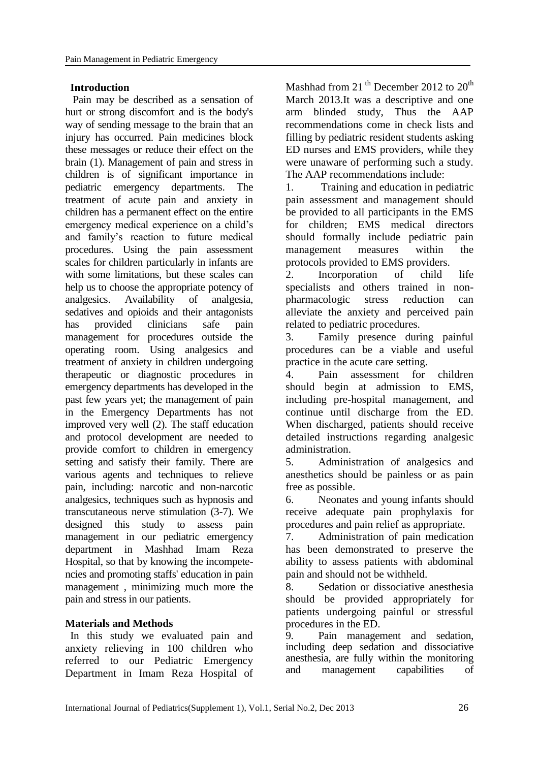### **Introduction**

Pain may be described as a sensation of hurt or strong discomfort and is the body's way of sending message to the brain that an injury has occurred. Pain medicines block these messages or reduce their effect on the brain (1). Management of pain and stress in children is of significant importance in pediatric emergency departments. The treatment of acute pain and anxiety in children has a permanent effect on the entire emergency medical experience on a child's and family's reaction to future medical procedures. Using the pain assessment scales for children particularly in infants are with some limitations, but these scales can help us to choose the appropriate potency of analgesics. Availability of analgesia, sedatives and opioids and their antagonists has provided clinicians safe pain management for procedures outside the operating room. Using analgesics and treatment of anxiety in children undergoing therapeutic or diagnostic procedures in emergency departments has developed in the past few years yet; the management of pain in the Emergency Departments has not improved very well (2). The staff education and protocol development are needed to provide comfort to children in emergency setting and satisfy their family. There are various agents and techniques to relieve pain, including: narcotic and non-narcotic analgesics, techniques such as hypnosis and transcutaneous nerve stimulation (3-7). We designed this study to assess pain management in our pediatric emergency department in Mashhad Imam Reza Hospital, so that by knowing the incompetencies and promoting staffs' education in pain management , minimizing much more the pain and stress in our patients.

### **Materials and Methods**

In this study we evaluated pain and anxiety relieving in 100 children who referred to our Pediatric Emergency Department in Imam Reza Hospital of Mashhad from 21<sup>th</sup> December 2012 to  $20<sup>th</sup>$ March 2013.It was a descriptive and one arm blinded study, Thus the AAP recommendations come in check lists and filling by pediatric resident students asking ED nurses and EMS providers, while they were unaware of performing such a study. The AAP recommendations include:

1. Training and education in pediatric pain assessment and management should be provided to all participants in the EMS for children; EMS medical directors should formally include pediatric pain management measures within the protocols provided to EMS providers.

2. Incorporation of child life specialists and others trained in nonpharmacologic stress reduction can alleviate the anxiety and perceived pain related to pediatric procedures.

3. Family presence during painful procedures can be a viable and useful practice in the acute care setting.

4. Pain assessment for children should begin at admission to EMS, including pre-hospital management, and continue until discharge from the ED. When discharged, patients should receive detailed instructions regarding analgesic administration.

5. Administration of analgesics and anesthetics should be painless or as pain free as possible.

6. Neonates and young infants should receive adequate pain prophylaxis for procedures and pain relief as appropriate.

7. Administration of pain medication has been demonstrated to preserve the ability to assess patients with abdominal pain and should not be withheld.

8. Sedation or dissociative anesthesia should be provided appropriately for patients undergoing painful or stressful procedures in the ED.

9. Pain management and sedation, including deep sedation and dissociative anesthesia, are fully within the monitoring and management capabilities of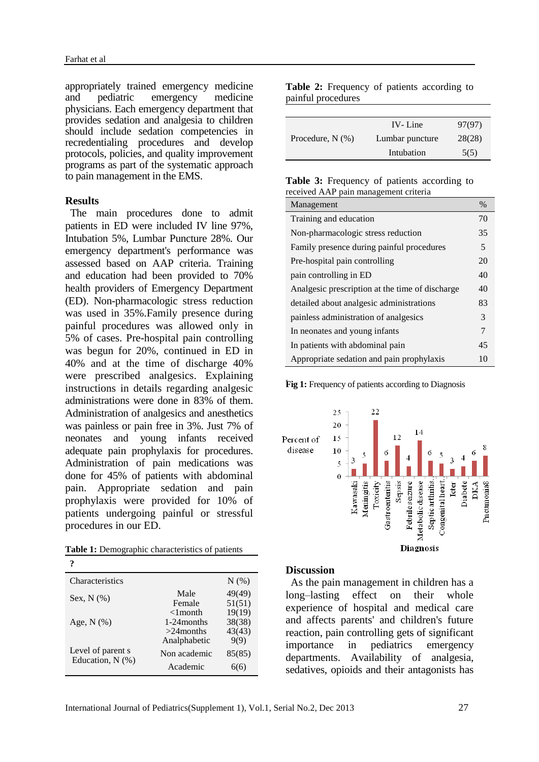appropriately trained emergency medicine and pediatric emergency medicine physicians. Each emergency department that provides sedation and analgesia to children should include sedation competencies in recredentialing procedures and develop protocols, policies, and quality improvement programs as part of the systematic approach to pain management in the EMS.

### **Results**

The main procedures done to admit patients in ED were included IV line 97%, Intubation 5%, Lumbar Puncture 28%. Our emergency department's performance was assessed based on AAP criteria. Training and education had been provided to 70% health providers of Emergency Department (ED). Non-pharmacologic stress reduction was used in 35%.Family presence during painful procedures was allowed only in 5% of cases. Pre-hospital pain controlling was begun for 20%, continued in ED in 40% and at the time of discharge 40% were prescribed analgesics. Explaining instructions in details regarding analgesic administrations were done in 83% of them. Administration of analgesics and anesthetics was painless or pain free in 3%. Just 7% of neonates and young infants received adequate pain prophylaxis for procedures. Administration of pain medications was done for 45% of patients with abdominal pain. Appropriate sedation and pain prophylaxis were provided for 10% of patients undergoing painful or stressful procedures in our ED.

| ?                                     |                                             |                            |
|---------------------------------------|---------------------------------------------|----------------------------|
| <b>Characteristics</b>                |                                             | $N(\%)$                    |
| Sex, $N$ $(\%)$                       | Male<br>Female<br>$<$ 1 month               | 49(49)<br>51(51)<br>19(19) |
| Age, $N$ $(\%)$                       | 1-24 months<br>$>24$ months<br>Analphabetic | 38(38)<br>43(43)<br>9(9)   |
| Level of parent s<br>Education, N (%) | Non academic<br>Academic                    | 85(85)<br>6(6)             |

**Table 2:** Frequency of patients according to painful procedures

| Procedure, $N(\%)$ | IV-Line         | 97(97) |
|--------------------|-----------------|--------|
|                    | Lumbar puncture | 28(28) |
|                    | Intubation      | 5(5)   |

| Table 3: Frequency of patients according to |  |  |
|---------------------------------------------|--|--|
| received AAP pain management criteria       |  |  |

| Management                                      | $\frac{0}{0}$ |
|-------------------------------------------------|---------------|
| Training and education                          |               |
| Non-pharmacologic stress reduction              |               |
| Family presence during painful procedures       |               |
| Pre-hospital pain controlling                   | 20            |
| pain controlling in ED                          |               |
| Analgesic prescription at the time of discharge |               |
| detailed about analgesic administrations        |               |
| painless administration of analgesics           |               |
| In neonates and young infants                   |               |
| In patients with abdominal pain                 |               |
| Appropriate sedation and pain prophylaxis       | 10            |

**Fig 1:** Frequency of patients according to Diagnosis



### **Discussion**

As the pain management in children has a long–lasting effect on their whole experience of hospital and medical care and affects parents' and children's future reaction, pain controlling gets of significant importance in pediatrics emergency departments. Availability of analgesia, sedatives, opioids and their antagonists has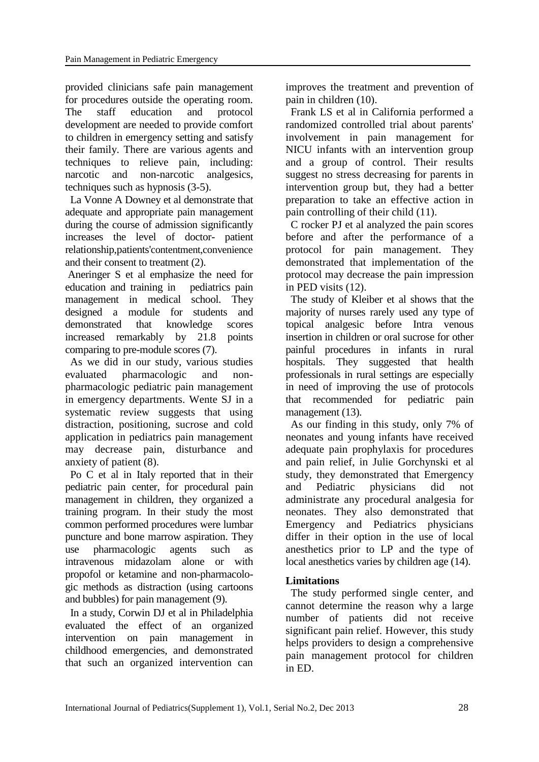provided clinicians safe pain management for procedures outside the operating room. The staff education and protocol development are needed to provide comfort to children in emergency setting and satisfy their family. There are various agents and techniques to relieve pain, including: narcotic and non-narcotic analgesics, techniques such as hypnosis (3-5).

La Vonne A Downey et al demonstrate that adequate and appropriate pain management during the course of admission significantly increases the level of doctor- patient relationship,patients'contentment,convenience and their consent to treatment (2).

Aneringer S et al emphasize the need for education and training in pediatrics pain management in medical school. They designed a module for students and demonstrated that knowledge scores increased remarkably by 21.8 points comparing to pre-module scores (7).

As we did in our study, various studies evaluated pharmacologic and nonpharmacologic pediatric pain management in emergency departments. Wente SJ in a systematic review suggests that using distraction, positioning, sucrose and cold application in pediatrics pain management may decrease pain, disturbance and anxiety of patient (8).

Po C et al in Italy reported that in their pediatric pain center, for procedural pain management in children, they organized a training program. In their study the most common performed procedures were lumbar puncture and bone marrow aspiration. They use pharmacologic agents such as intravenous midazolam alone or with propofol or ketamine and non-pharmacologic methods as distraction (using cartoons and bubbles) for pain management (9).

In a study, Corwin DJ et al in Philadelphia evaluated the effect of an organized intervention on pain management in childhood emergencies, and demonstrated that such an organized intervention can improves the treatment and prevention of pain in children (10).

Frank LS et al in California performed a randomized controlled trial about parents' involvement in pain management for NICU infants with an intervention group and a group of control. Their results suggest no stress decreasing for parents in intervention group but, they had a better preparation to take an effective action in pain controlling of their child (11).

C rocker PJ et al analyzed the pain scores before and after the performance of a protocol for pain management. They demonstrated that implementation of the protocol may decrease the pain impression in PED visits (12).

The study of Kleiber et al shows that the majority of nurses rarely used any type of topical analgesic before Intra venous insertion in children or oral sucrose for other painful procedures in infants in rural hospitals. They suggested that health professionals in rural settings are especially in need of improving the use of protocols that recommended for pediatric pain management (13).

As our finding in this study, only 7% of neonates and young infants have received adequate pain prophylaxis for procedures and pain relief, in Julie Gorchynski et al study, they demonstrated that Emergency and Pediatric physicians did not administrate any procedural analgesia for neonates. They also demonstrated that Emergency and Pediatrics physicians differ in their option in the use of local anesthetics prior to LP and the type of local anesthetics varies by children age (14).

## **Limitations**

The study performed single center, and cannot determine the reason why a large number of patients did not receive significant pain relief. However, this study helps providers to design a comprehensive pain management protocol for children in ED.